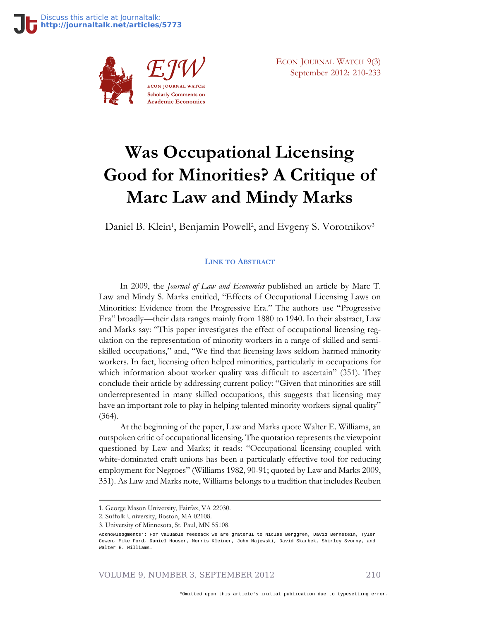

ECON JOURNAL WATCH 9(3) September 2012: 210-233

# **Was Occupational Licensing Good for Minorities? A Critique of Marc Law and Mindy Marks**

Daniel B. Klein<sup>1</sup>, Benjamin Powell<sup>2</sup>, and Evgeny S. Vorotnikov<sup>3</sup>

#### **LINK TO A[BSTRACT](http://econjwatch.org/825)**

In 2009, the *Journal of Law and Economics* published an article by Marc T. Law and Mindy S. Marks entitled, "Effects of Occupational Licensing Laws on Minorities: Evidence from the Progressive Era." The authors use "Progressive Era" broadly—their data ranges mainly from 1880 to 1940. In their abstract, Law and Marks say: "This paper investigates the effect of occupational licensing regulation on the representation of minority workers in a range of skilled and semiskilled occupations," and, "We find that licensing laws seldom harmed minority workers. In fact, licensing often helped minorities, particularly in occupations for which information about worker quality was difficult to ascertain" (351). They conclude their article by addressing current policy: "Given that minorities are still underrepresented in many skilled occupations, this suggests that licensing may have an important role to play in helping talented minority workers signal quality" (364).

At the beginning of the paper, Law and Marks quote Walter E. Williams, an outspoken critic of occupational licensing. The quotation represents the viewpoint questioned by Law and Marks; it reads: "Occupational licensing coupled with white-dominated craft unions has been a particularly effective tool for reducing employment for Negroes" (Williams 1982, 90-91; quoted by Law and Marks 2009, 351). As Law and Marks note, Williams belongs to a tradition that includes Reuben

VOLUME 9, NUMBER 3, SEPTEMBER 2012 210

<sup>1.</sup> George Mason University, Fairfax, VA 22030.

<sup>2.</sup> Suffolk University, Boston, MA 02108.

<sup>3.</sup> University of Minnesota, St. Paul, MN 55108.

Acknowledgments\*: For valuable feedback we are grateful to Niclas Berggren, David Bernstein, Tyler Cowen, Mike Ford, Daniel Houser, Morris Kleiner, John Majewski, David Skarbek, Shirley Svorny, and Walter E. Williams.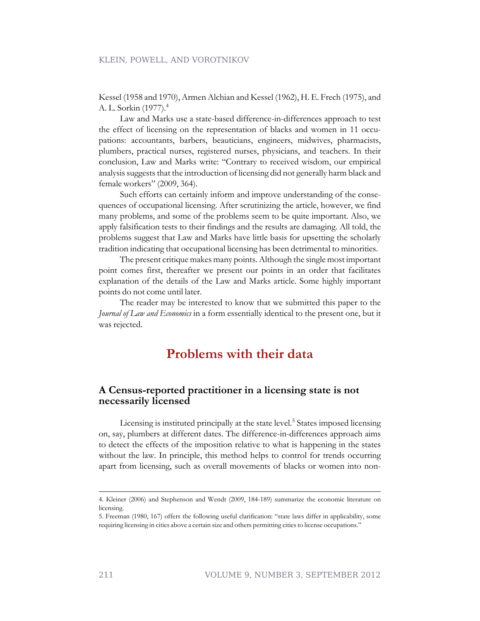Kessel (1958 and 1970), Armen Alchian and Kessel (1962), H. E. Frech (1975), and A. L. Sorkin (1977).<sup>4</sup>

Law and Marks use a state-based difference-in-differences approach to test the effect of licensing on the representation of blacks and women in 11 occupations: accountants, barbers, beauticians, engineers, midwives, pharmacists, plumbers, practical nurses, registered nurses, physicians, and teachers. In their conclusion, Law and Marks write: "Contrary to received wisdom, our empirical analysis suggests that the introduction of licensing did not generally harm black and female workers" (2009, 364).

Such efforts can certainly inform and improve understanding of the consequences of occupational licensing. After scrutinizing the article, however, we find many problems, and some of the problems seem to be quite important. Also, we apply falsification tests to their findings and the results are damaging. All told, the problems suggest that Law and Marks have little basis for upsetting the scholarly tradition indicating that occupational licensing has been detrimental to minorities.

The present critique makes many points. Although the single most important point comes first, thereafter we present our points in an order that facilitates explanation of the details of the Law and Marks article. Some highly important points do not come until later.

The reader may be interested to know that we submitted this paper to the *Journal of Law and Economics* in a form essentially identical to the present one, but it was rejected.

### **Problems with their data**

#### **A Census-reported practitioner in a licensing state is not necessarily licensed**

Licensing is instituted principally at the state level.<sup>5</sup> States imposed licensing on, say, plumbers at different dates. The difference-in-differences approach aims to detect the effects of the imposition relative to what is happening in the states without the law. In principle, this method helps to control for trends occurring apart from licensing, such as overall movements of blacks or women into non-

<sup>4.</sup> Kleiner (2006) and Stephenson and Wendt (2009, 184-189) summarize the economic literature on licensing.

<sup>5.</sup> Freeman (1980, 167) offers the following useful clarification: "state laws differ in applicability, some requiring licensing in cities above a certain size and others permitting cities to license occupations."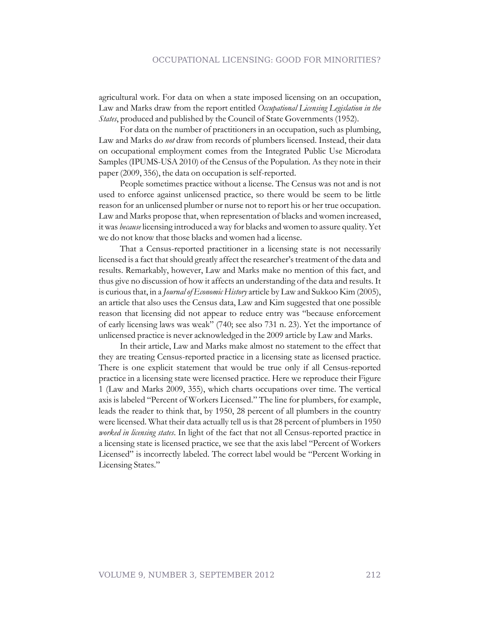agricultural work. For data on when a state imposed licensing on an occupation, Law and Marks draw from the report entitled *Occupational Licensing Legislation in the States*, produced and published by the Council of State Governments (1952).

For data on the number of practitioners in an occupation, such as plumbing, Law and Marks do *not* draw from records of plumbers licensed. Instead, their data on occupational employment comes from the Integrated Public Use Microdata Samples (IPUMS-USA 2010) of the Census of the Population. As they note in their paper (2009, 356), the data on occupation is self-reported.

People sometimes practice without a license. The Census was not and is not used to enforce against unlicensed practice, so there would be seem to be little reason for an unlicensed plumber or nurse not to report his or her true occupation. Law and Marks propose that, when representation of blacks and women increased, it was *because* licensing introduced a way for blacks and women to assure quality. Yet we do not know that those blacks and women had a license.

That a Census-reported practitioner in a licensing state is not necessarily licensed is a fact that should greatly affect the researcher's treatment of the data and results. Remarkably, however, Law and Marks make no mention of this fact, and thus give no discussion of how it affects an understanding of the data and results. It is curious that, in a *Journal of Economic History* article by Law and Sukkoo Kim (2005), an article that also uses the Census data, Law and Kim suggested that one possible reason that licensing did not appear to reduce entry was "because enforcement of early licensing laws was weak" (740; see also 731 n. 23). Yet the importance of unlicensed practice is never acknowledged in the 2009 article by Law and Marks.

In their article, Law and Marks make almost no statement to the effect that they are treating Census-reported practice in a licensing state as licensed practice. There is one explicit statement that would be true only if all Census-reported practice in a licensing state were licensed practice. Here we reproduce their Figure 1 (Law and Marks 2009, 355), which charts occupations over time. The vertical axis is labeled "Percent of Workers Licensed." The line for plumbers, for example, leads the reader to think that, by 1950, 28 percent of all plumbers in the country were licensed. What their data actually tell us is that 28 percent of plumbers in 1950 *worked in licensing states*. In light of the fact that not all Census-reported practice in a licensing state is licensed practice, we see that the axis label "Percent of Workers Licensed" is incorrectly labeled. The correct label would be "Percent Working in Licensing States."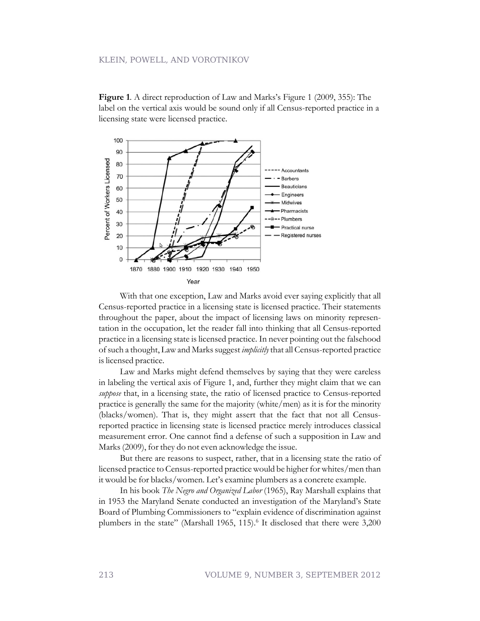**Figure 1**. A direct reproduction of Law and Marks's Figure 1 (2009, 355): The label on the vertical axis would be sound only if all Census-reported practice in a licensing state were licensed practice.



With that one exception, Law and Marks avoid ever saying explicitly that all Census-reported practice in a licensing state is licensed practice. Their statements throughout the paper, about the impact of licensing laws on minority representation in the occupation, let the reader fall into thinking that all Census-reported practice in a licensing state is licensed practice. In never pointing out the falsehood of such a thought, Law and Marks suggest *implicitly*that all Census-reported practice is licensed practice.

Law and Marks might defend themselves by saying that they were careless in labeling the vertical axis of Figure 1, and, further they might claim that we can *suppose* that, in a licensing state, the ratio of licensed practice to Census-reported practice is generally the same for the majority (white/men) as it is for the minority (blacks/women). That is, they might assert that the fact that not all Censusreported practice in licensing state is licensed practice merely introduces classical measurement error. One cannot find a defense of such a supposition in Law and Marks (2009), for they do not even acknowledge the issue.

But there are reasons to suspect, rather, that in a licensing state the ratio of licensed practice to Census-reported practice would be higher for whites/men than it would be for blacks/women. Let's examine plumbers as a concrete example.

In his book *The Negro and Organized Labor* (1965), Ray Marshall explains that in 1953 the Maryland Senate conducted an investigation of the Maryland's State Board of Plumbing Commissioners to "explain evidence of discrimination against plumbers in the state" (Marshall 1965, 115).<sup>6</sup> It disclosed that there were 3,200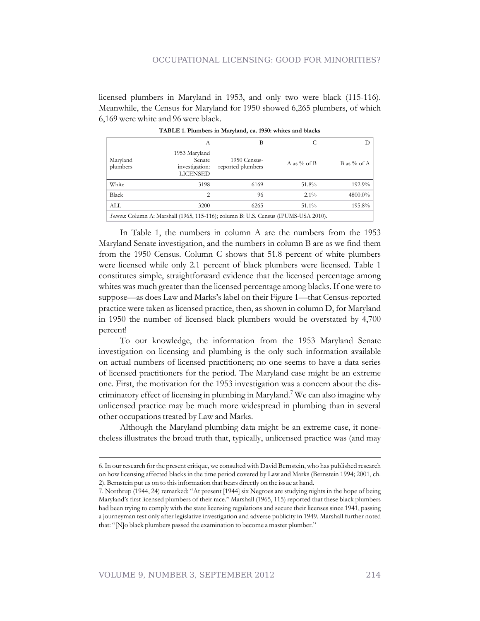#### OCCUPATIONAL LICENSING: GOOD FOR MINORITIES?

licensed plumbers in Maryland in 1953, and only two were black (115-116). Meanwhile, the Census for Maryland for 1950 showed 6,265 plumbers, of which 6,169 were white and 96 were black.

|                      | A                                                                                            | B                                 |                | D             |
|----------------------|----------------------------------------------------------------------------------------------|-----------------------------------|----------------|---------------|
| Maryland<br>plumbers | 1953 Maryland<br>Senate<br>investigation:<br>LICENSED                                        | 1950 Census-<br>reported plumbers | A as $\%$ of B | B as $%$ of A |
| White                | 3198                                                                                         | 6169                              | 51.8%          | 192.9%        |
| Black                | 2                                                                                            | 96                                | $2.1\%$        | 4800.0%       |
| ALL                  | 3200                                                                                         | 6265                              | $51.1\%$       | 195.8%        |
|                      | <i>Sources</i> : Column A: Marshall (1965, 115-116); column B: U.S. Census (IPUMS-USA 2010). |                                   |                |               |

**TABLE 1. Plumbers in Maryland, ca. 1950: whites and blacks**

In Table 1, the numbers in column A are the numbers from the 1953 Maryland Senate investigation, and the numbers in column B are as we find them from the 1950 Census. Column C shows that 51.8 percent of white plumbers were licensed while only 2.1 percent of black plumbers were licensed. Table 1 constitutes simple, straightforward evidence that the licensed percentage among whites was much greater than the licensed percentage among blacks. If one were to suppose—as does Law and Marks's label on their Figure 1—that Census-reported practice were taken as licensed practice, then, as shown in column D, for Maryland in 1950 the number of licensed black plumbers would be overstated by 4,700 percent!

To our knowledge, the information from the 1953 Maryland Senate investigation on licensing and plumbing is the only such information available on actual numbers of licensed practitioners; no one seems to have a data series of licensed practitioners for the period. The Maryland case might be an extreme one. First, the motivation for the 1953 investigation was a concern about the discriminatory effect of licensing in plumbing in Maryland.<sup>7</sup> We can also imagine why unlicensed practice may be much more widespread in plumbing than in several other occupations treated by Law and Marks.

Although the Maryland plumbing data might be an extreme case, it nonetheless illustrates the broad truth that, typically, unlicensed practice was (and may

<sup>6.</sup> In our research for the present critique, we consulted with David Bernstein, who has published research on how licensing affected blacks in the time period covered by Law and Marks (Bernstein 1994; 2001, ch. 2). Bernstein put us on to this information that bears directly on the issue at hand.

<sup>7.</sup> Northrup (1944, 24) remarked: "At present [1944] six Negroes are studying nights in the hope of being Maryland's first licensed plumbers of their race." Marshall (1965, 115) reported that these black plumbers had been trying to comply with the state licensing regulations and secure their licenses since 1941, passing a journeyman test only after legislative investigation and adverse publicity in 1949. Marshall further noted that: "[N]o black plumbers passed the examination to become a master plumber."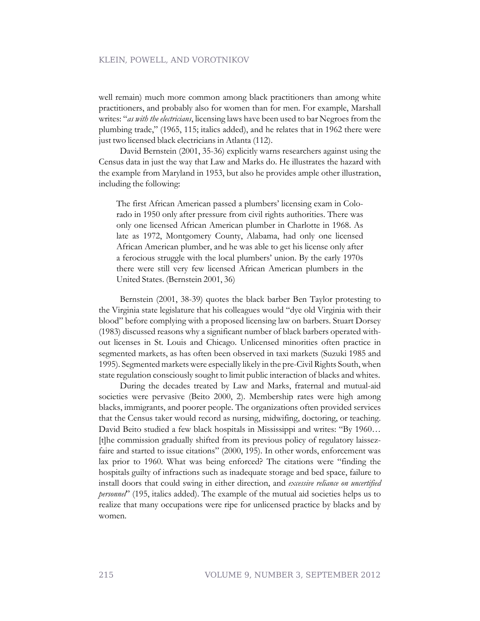well remain) much more common among black practitioners than among white practitioners, and probably also for women than for men. For example, Marshall writes: "*as with the electricians*, licensing laws have been used to bar Negroes from the plumbing trade," (1965, 115; italics added), and he relates that in 1962 there were just two licensed black electricians in Atlanta (112).

David Bernstein (2001, 35-36) explicitly warns researchers against using the Census data in just the way that Law and Marks do. He illustrates the hazard with the example from Maryland in 1953, but also he provides ample other illustration, including the following:

The first African American passed a plumbers' licensing exam in Colorado in 1950 only after pressure from civil rights authorities. There was only one licensed African American plumber in Charlotte in 1968. As late as 1972, Montgomery County, Alabama, had only one licensed African American plumber, and he was able to get his license only after a ferocious struggle with the local plumbers' union. By the early 1970s there were still very few licensed African American plumbers in the United States. (Bernstein 2001, 36)

Bernstein (2001, 38-39) quotes the black barber Ben Taylor protesting to the Virginia state legislature that his colleagues would "dye old Virginia with their blood" before complying with a proposed licensing law on barbers. Stuart Dorsey (1983) discussed reasons why a significant number of black barbers operated without licenses in St. Louis and Chicago. Unlicensed minorities often practice in segmented markets, as has often been observed in taxi markets (Suzuki 1985 and 1995). Segmented markets were especially likely in the pre-Civil Rights South, when state regulation consciously sought to limit public interaction of blacks and whites.

During the decades treated by Law and Marks, fraternal and mutual-aid societies were pervasive (Beito 2000, 2). Membership rates were high among blacks, immigrants, and poorer people. The organizations often provided services that the Census taker would record as nursing, midwifing, doctoring, or teaching. David Beito studied a few black hospitals in Mississippi and writes: "By 1960… [t]he commission gradually shifted from its previous policy of regulatory laissezfaire and started to issue citations" (2000, 195). In other words, enforcement was lax prior to 1960. What was being enforced? The citations were "finding the hospitals guilty of infractions such as inadequate storage and bed space, failure to install doors that could swing in either direction, and *excessive reliance on uncertified personnel*" (195, italics added). The example of the mutual aid societies helps us to realize that many occupations were ripe for unlicensed practice by blacks and by women.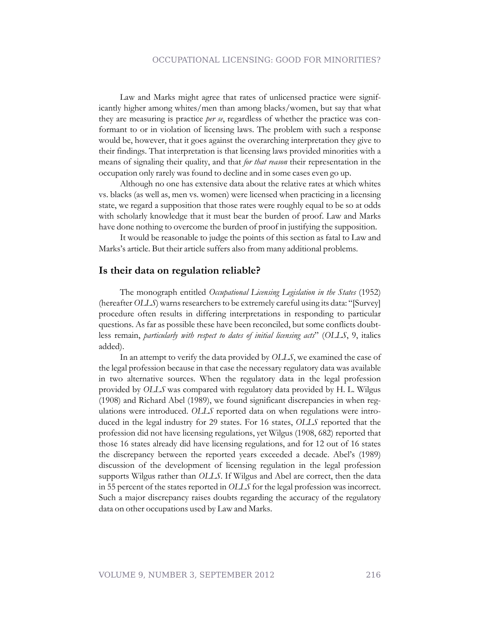Law and Marks might agree that rates of unlicensed practice were significantly higher among whites/men than among blacks/women, but say that what they are measuring is practice *per se*, regardless of whether the practice was conformant to or in violation of licensing laws. The problem with such a response would be, however, that it goes against the overarching interpretation they give to their findings. That interpretation is that licensing laws provided minorities with a means of signaling their quality, and that *for that reason* their representation in the occupation only rarely was found to decline and in some cases even go up.

Although no one has extensive data about the relative rates at which whites vs. blacks (as well as, men vs. women) were licensed when practicing in a licensing state, we regard a supposition that those rates were roughly equal to be so at odds with scholarly knowledge that it must bear the burden of proof. Law and Marks have done nothing to overcome the burden of proof in justifying the supposition.

It would be reasonable to judge the points of this section as fatal to Law and Marks's article. But their article suffers also from many additional problems.

#### **Is their data on regulation reliable?**

The monograph entitled *Occupational Licensing Legislation in the States* (1952) (hereafter*OLLS*) warns researchers to be extremely careful using its data: "[Survey] procedure often results in differing interpretations in responding to particular questions. As far as possible these have been reconciled, but some conflicts doubtless remain, *particularly with respect to dates of initial licensing acts*" (*OLLS*, 9, italics added).

In an attempt to verify the data provided by *OLLS*, we examined the case of the legal profession because in that case the necessary regulatory data was available in two alternative sources. When the regulatory data in the legal profession provided by *OLLS* was compared with regulatory data provided by H. L. Wilgus (1908) and Richard Abel (1989), we found significant discrepancies in when regulations were introduced. *OLLS* reported data on when regulations were introduced in the legal industry for 29 states. For 16 states, *OLLS* reported that the profession did not have licensing regulations, yet Wilgus (1908, 682) reported that those 16 states already did have licensing regulations, and for 12 out of 16 states the discrepancy between the reported years exceeded a decade. Abel's (1989) discussion of the development of licensing regulation in the legal profession supports Wilgus rather than *OLLS*. If Wilgus and Abel are correct, then the data in 55 percent of the states reported in *OLLS* for the legal profession was incorrect. Such a major discrepancy raises doubts regarding the accuracy of the regulatory data on other occupations used by Law and Marks.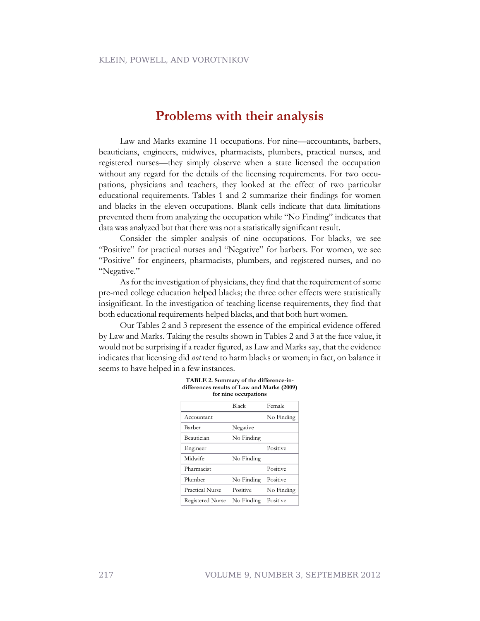### **Problems with their analysis**

Law and Marks examine 11 occupations. For nine—accountants, barbers, beauticians, engineers, midwives, pharmacists, plumbers, practical nurses, and registered nurses—they simply observe when a state licensed the occupation without any regard for the details of the licensing requirements. For two occupations, physicians and teachers, they looked at the effect of two particular educational requirements. Tables 1 and 2 summarize their findings for women and blacks in the eleven occupations. Blank cells indicate that data limitations prevented them from analyzing the occupation while "No Finding" indicates that data was analyzed but that there was not a statistically significant result.

Consider the simpler analysis of nine occupations. For blacks, we see "Positive" for practical nurses and "Negative" for barbers. For women, we see "Positive" for engineers, pharmacists, plumbers, and registered nurses, and no "Negative."

As for the investigation of physicians, they find that the requirement of some pre-med college education helped blacks; the three other effects were statistically insignificant. In the investigation of teaching license requirements, they find that both educational requirements helped blacks, and that both hurt women.

Our Tables 2 and 3 represent the essence of the empirical evidence offered by Law and Marks. Taking the results shown in Tables 2 and 3 at the face value, it would not be surprising if a reader figured, as Law and Marks say, that the evidence indicates that licensing did *not* tend to harm blacks or women; in fact, on balance it seems to have helped in a few instances.

|                  | Black      | Female     |
|------------------|------------|------------|
| Accountant       |            | No Finding |
| Barber           | Negative   |            |
| Beautician       | No Finding |            |
| Engineer         |            | Positive   |
| Midwife          | No Finding |            |
| Pharmacist       |            | Positive   |
| Plumber          | No Finding | Positive   |
| Practical Nurse  | Positive   | No Finding |
| Registered Nurse | No Finding | Positive   |

| TABLE 2. Summary of the difference-in-      |  |
|---------------------------------------------|--|
| differences results of Law and Marks (2009) |  |
| for nine occupations                        |  |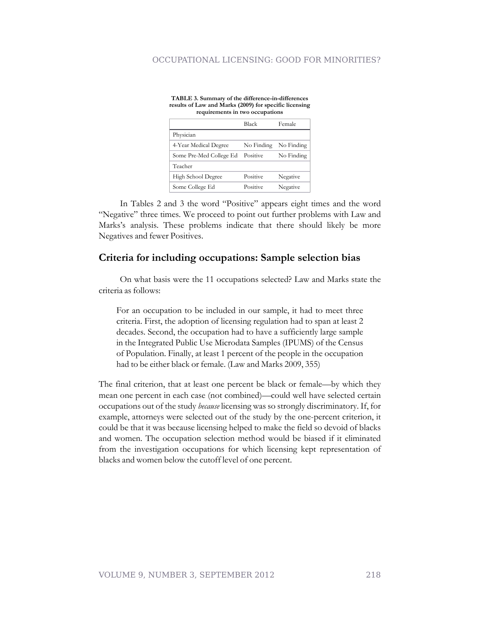#### OCCUPATIONAL LICENSING: GOOD FOR MINORITIES?

| results of Eaw and mains (2007) for specific ficensing<br>requirements in two occupations |              |            |  |  |  |  |
|-------------------------------------------------------------------------------------------|--------------|------------|--|--|--|--|
|                                                                                           | <b>Black</b> | Female     |  |  |  |  |
| Physician                                                                                 |              |            |  |  |  |  |
| 4-Year Medical Degree                                                                     | No Finding   | No Finding |  |  |  |  |
| Some Pre-Med College Ed                                                                   | Positive     | No Finding |  |  |  |  |
| Teacher                                                                                   |              |            |  |  |  |  |
| High School Degree                                                                        | Positive     | Negative   |  |  |  |  |
| Some College Ed                                                                           | Positive     | Negative   |  |  |  |  |

**TABLE 3. Summary of the difference-in-differences results of Law and Marks (2009) for specific licensing**

In Tables 2 and 3 the word "Positive" appears eight times and the word "Negative" three times. We proceed to point out further problems with Law and Marks's analysis. These problems indicate that there should likely be more Negatives and fewer Positives.

#### **Criteria for including occupations: Sample selection bias**

On what basis were the 11 occupations selected? Law and Marks state the criteria as follows:

For an occupation to be included in our sample, it had to meet three criteria. First, the adoption of licensing regulation had to span at least 2 decades. Second, the occupation had to have a sufficiently large sample in the Integrated Public Use Microdata Samples (IPUMS) of the Census of Population. Finally, at least 1 percent of the people in the occupation had to be either black or female. (Law and Marks 2009, 355)

The final criterion, that at least one percent be black or female—by which they mean one percent in each case (not combined)—could well have selected certain occupations out of the study *because* licensing was so strongly discriminatory. If, for example, attorneys were selected out of the study by the one-percent criterion, it could be that it was because licensing helped to make the field so devoid of blacks and women. The occupation selection method would be biased if it eliminated from the investigation occupations for which licensing kept representation of blacks and women below the cutoff level of one percent.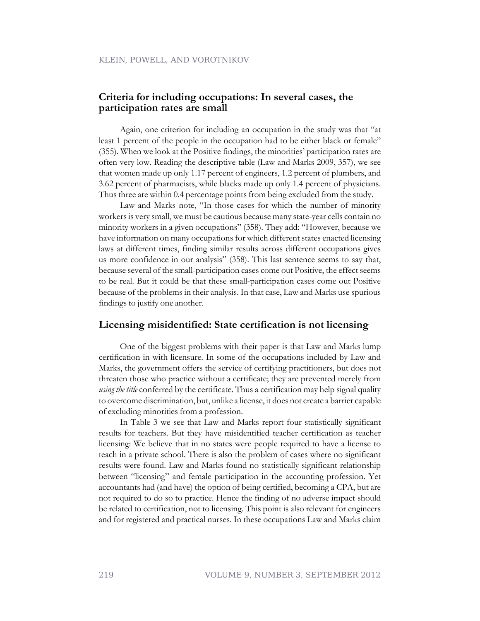#### **Criteria for including occupations: In several cases, the participation rates are small**

Again, one criterion for including an occupation in the study was that "at least 1 percent of the people in the occupation had to be either black or female" (355). When we look at the Positive findings, the minorities' participation rates are often very low. Reading the descriptive table (Law and Marks 2009, 357), we see that women made up only 1.17 percent of engineers, 1.2 percent of plumbers, and 3.62 percent of pharmacists, while blacks made up only 1.4 percent of physicians. Thus three are within 0.4 percentage points from being excluded from the study.

Law and Marks note, "In those cases for which the number of minority workers is very small, we must be cautious because many state-year cells contain no minority workers in a given occupations" (358). They add: "However, because we have information on many occupations for which different states enacted licensing laws at different times, finding similar results across different occupations gives us more confidence in our analysis" (358). This last sentence seems to say that, because several of the small-participation cases come out Positive, the effect seems to be real. But it could be that these small-participation cases come out Positive because of the problems in their analysis. In that case, Law and Marks use spurious findings to justify one another.

#### **Licensing misidentified: State certification is not licensing**

One of the biggest problems with their paper is that Law and Marks lump certification in with licensure. In some of the occupations included by Law and Marks, the government offers the service of certifying practitioners, but does not threaten those who practice without a certificate; they are prevented merely from *using the title* conferred by the certificate. Thus a certification may help signal quality to overcome discrimination, but, unlike a license, it does not create a barrier capable of excluding minorities from a profession.

In Table 3 we see that Law and Marks report four statistically significant results for teachers. But they have misidentified teacher certification as teacher licensing: We believe that in no states were people required to have a license to teach in a private school. There is also the problem of cases where no significant results were found. Law and Marks found no statistically significant relationship between "licensing" and female participation in the accounting profession. Yet accountants had (and have) the option of being certified, becoming a CPA, but are not required to do so to practice. Hence the finding of no adverse impact should be related to certification, not to licensing. This point is also relevant for engineers and for registered and practical nurses. In these occupations Law and Marks claim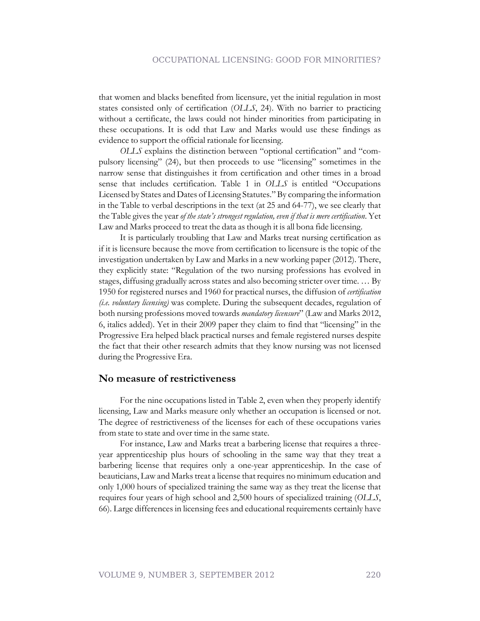that women and blacks benefited from licensure, yet the initial regulation in most states consisted only of certification (*OLLS*, 24). With no barrier to practicing without a certificate, the laws could not hinder minorities from participating in these occupations. It is odd that Law and Marks would use these findings as evidence to support the official rationale for licensing.

*OLLS* explains the distinction between "optional certification" and "compulsory licensing" (24), but then proceeds to use "licensing" sometimes in the narrow sense that distinguishes it from certification and other times in a broad sense that includes certification. Table 1 in *OLLS* is entitled "Occupations Licensed by States and Dates of Licensing Statutes." By comparing the information in the Table to verbal descriptions in the text (at 25 and 64-77), we see clearly that the Table gives the year *of the state's strongest regulation, even if that is mere certification*. Yet Law and Marks proceed to treat the data as though it is all bona fide licensing.

It is particularly troubling that Law and Marks treat nursing certification as if it is licensure because the move from certification to licensure is the topic of the investigation undertaken by Law and Marks in a new working paper (2012). There, they explicitly state: "Regulation of the two nursing professions has evolved in stages, diffusing gradually across states and also becoming stricter over time. … By 1950 for registered nurses and 1960 for practical nurses, the diffusion of *certification (i.e. voluntary licensing)* was complete. During the subsequent decades, regulation of both nursing professions moved towards *mandatory licensure*" (Law and Marks 2012, 6, italics added). Yet in their 2009 paper they claim to find that "licensing" in the Progressive Era helped black practical nurses and female registered nurses despite the fact that their other research admits that they know nursing was not licensed during the Progressive Era.

#### **No measure of restrictiveness**

For the nine occupations listed in Table 2, even when they properly identify licensing, Law and Marks measure only whether an occupation is licensed or not. The degree of restrictiveness of the licenses for each of these occupations varies from state to state and over time in the same state.

For instance, Law and Marks treat a barbering license that requires a threeyear apprenticeship plus hours of schooling in the same way that they treat a barbering license that requires only a one-year apprenticeship. In the case of beauticians, Law and Marks treat a license that requires no minimum education and only 1,000 hours of specialized training the same way as they treat the license that requires four years of high school and 2,500 hours of specialized training (*OLLS*, 66). Large differences in licensing fees and educational requirements certainly have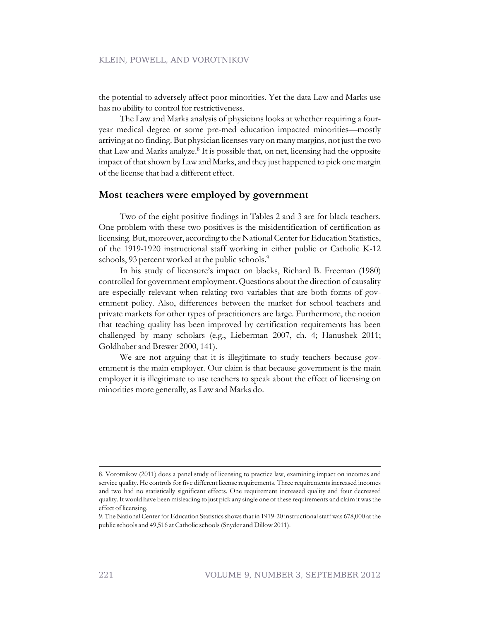the potential to adversely affect poor minorities. Yet the data Law and Marks use has no ability to control for restrictiveness.

The Law and Marks analysis of physicians looks at whether requiring a fouryear medical degree or some pre-med education impacted minorities—mostly arriving at no finding. But physician licenses vary on many margins, not just the two that Law and Marks analyze.<sup>8</sup> It is possible that, on net, licensing had the opposite impact of that shown by Law and Marks, and they just happened to pick one margin of the license that had a different effect.

#### **Most teachers were employed by government**

Two of the eight positive findings in Tables 2 and 3 are for black teachers. One problem with these two positives is the misidentification of certification as licensing. But, moreover, according to the National Center for Education Statistics, of the 1919-1920 instructional staff working in either public or Catholic K-12 schools, 93 percent worked at the public schools.<sup>9</sup>

In his study of licensure's impact on blacks, Richard B. Freeman (1980) controlled for government employment. Questions about the direction of causality are especially relevant when relating two variables that are both forms of government policy. Also, differences between the market for school teachers and private markets for other types of practitioners are large. Furthermore, the notion that teaching quality has been improved by certification requirements has been challenged by many scholars (e.g., Lieberman 2007, ch. 4; Hanushek 2011; Goldhaber and Brewer 2000, 141).

We are not arguing that it is illegitimate to study teachers because government is the main employer. Our claim is that because government is the main employer it is illegitimate to use teachers to speak about the effect of licensing on minorities more generally, as Law and Marks do.

<sup>8.</sup> Vorotnikov (2011) does a panel study of licensing to practice law, examining impact on incomes and service quality. He controls for five different license requirements. Three requirements increased incomes and two had no statistically significant effects. One requirement increased quality and four decreased quality. It would have been misleading to just pick any single one of these requirements and claim it was the effect of licensing.

<sup>9.</sup> The National Center for Education Statistics shows that in 1919-20 instructional staff was 678,000 at the public schools and 49,516 at Catholic schools (Snyder and Dillow 2011).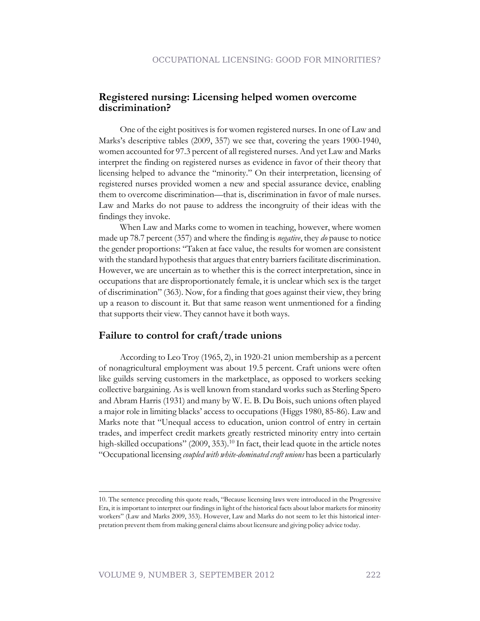#### **Registered nursing: Licensing helped women overcome discrimination?**

One of the eight positives is for women registered nurses. In one of Law and Marks's descriptive tables (2009, 357) we see that, covering the years 1900-1940, women accounted for 97.3 percent of all registered nurses. And yet Law and Marks interpret the finding on registered nurses as evidence in favor of their theory that licensing helped to advance the "minority." On their interpretation, licensing of registered nurses provided women a new and special assurance device, enabling them to overcome discrimination—that is, discrimination in favor of male nurses. Law and Marks do not pause to address the incongruity of their ideas with the findings they invoke.

When Law and Marks come to women in teaching, however, where women made up 78.7 percent (357) and where the finding is *negative*, they *do* pause to notice the gender proportions: "Taken at face value, the results for women are consistent with the standard hypothesis that argues that entry barriers facilitate discrimination. However, we are uncertain as to whether this is the correct interpretation, since in occupations that are disproportionately female, it is unclear which sex is the target of discrimination" (363). Now, for a finding that goes against their view, they bring up a reason to discount it. But that same reason went unmentioned for a finding that supports their view. They cannot have it both ways.

#### **Failure to control for craft/trade unions**

According to Leo Troy (1965, 2), in 1920-21 union membership as a percent of nonagricultural employment was about 19.5 percent. Craft unions were often like guilds serving customers in the marketplace, as opposed to workers seeking collective bargaining. As is well known from standard works such as Sterling Spero and Abram Harris (1931) and many by W. E. B. Du Bois, such unions often played a major role in limiting blacks' access to occupations (Higgs 1980, 85-86). Law and Marks note that "Unequal access to education, union control of entry in certain trades, and imperfect credit markets greatly restricted minority entry into certain high-skilled occupations" (2009, 353).<sup>10</sup> In fact, their lead quote in the article notes "Occupational licensing *coupled with white-dominated craft unions* has been a particularly

<sup>10.</sup> The sentence preceding this quote reads, "Because licensing laws were introduced in the Progressive Era, it is important to interpret our findings in light of the historical facts about labor markets for minority workers" (Law and Marks 2009, 353). However, Law and Marks do not seem to let this historical interpretation prevent them from making general claims about licensure and giving policy advice today.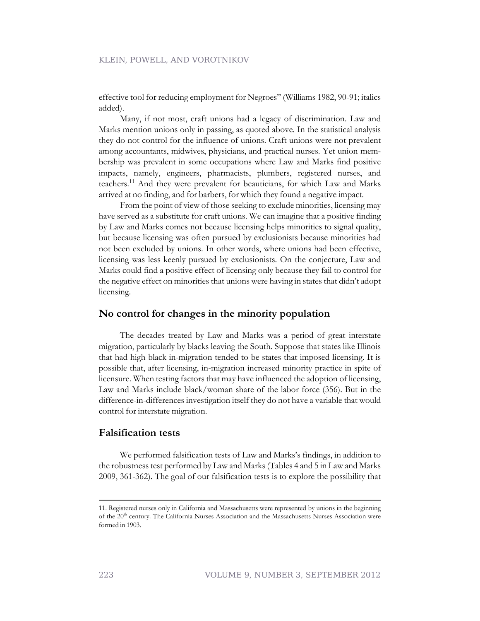effective tool for reducing employment for Negroes" (Williams 1982, 90-91; italics added).

Many, if not most, craft unions had a legacy of discrimination. Law and Marks mention unions only in passing, as quoted above. In the statistical analysis they do not control for the influence of unions. Craft unions were not prevalent among accountants, midwives, physicians, and practical nurses. Yet union membership was prevalent in some occupations where Law and Marks find positive impacts, namely, engineers, pharmacists, plumbers, registered nurses, and teachers.<sup>11</sup> And they were prevalent for beauticians, for which Law and Marks arrived at no finding, and for barbers, for which they found a negative impact.

From the point of view of those seeking to exclude minorities, licensing may have served as a substitute for craft unions. We can imagine that a positive finding by Law and Marks comes not because licensing helps minorities to signal quality, but because licensing was often pursued by exclusionists because minorities had not been excluded by unions. In other words, where unions had been effective, licensing was less keenly pursued by exclusionists. On the conjecture, Law and Marks could find a positive effect of licensing only because they fail to control for the negative effect on minorities that unions were having in states that didn't adopt licensing.

#### **No control for changes in the minority population**

The decades treated by Law and Marks was a period of great interstate migration, particularly by blacks leaving the South. Suppose that states like Illinois that had high black in-migration tended to be states that imposed licensing. It is possible that, after licensing, in-migration increased minority practice in spite of licensure. When testing factors that may have influenced the adoption of licensing, Law and Marks include black/woman share of the labor force (356). But in the difference-in-differences investigation itself they do not have a variable that would control for interstate migration.

#### **Falsification tests**

We performed falsification tests of Law and Marks's findings, in addition to the robustness test performed by Law and Marks (Tables 4 and 5 in Law and Marks 2009, 361-362). The goal of our falsification tests is to explore the possibility that

<sup>11.</sup> Registered nurses only in California and Massachusetts were represented by unions in the beginning of the 20<sup>th</sup> century. The California Nurses Association and the Massachusetts Nurses Association were formed in 1903.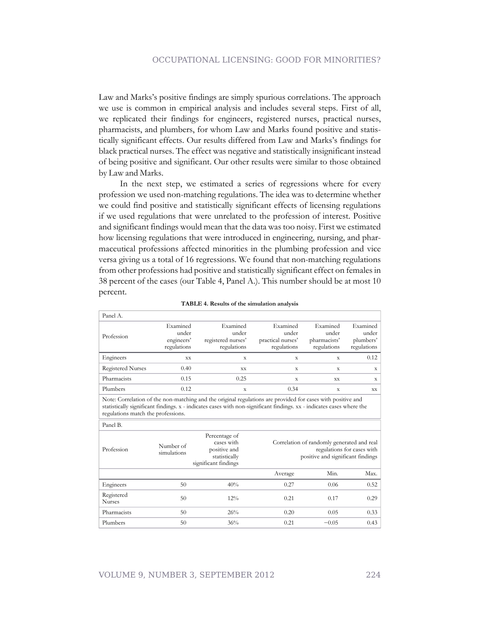Law and Marks's positive findings are simply spurious correlations. The approach we use is common in empirical analysis and includes several steps. First of all, we replicated their findings for engineers, registered nurses, practical nurses, pharmacists, and plumbers, for whom Law and Marks found positive and statistically significant effects. Our results differed from Law and Marks's findings for black practical nurses. The effect was negative and statistically insignificant instead of being positive and significant. Our other results were similar to those obtained by Law and Marks.

In the next step, we estimated a series of regressions where for every profession we used non-matching regulations. The idea was to determine whether we could find positive and statistically significant effects of licensing regulations if we used regulations that were unrelated to the profession of interest. Positive and significant findings would mean that the data was too noisy. First we estimated how licensing regulations that were introduced in engineering, nursing, and pharmaceutical professions affected minorities in the plumbing profession and vice versa giving us a total of 16 regressions. We found that non-matching regulations from other professions had positive and statistically significant effect on females in 38 percent of the cases (our Table 4, Panel A.). This number should be at most 10 percent.

| Panel A.                 |                                                |                                                        |                                                       |                                                  |                                                 |
|--------------------------|------------------------------------------------|--------------------------------------------------------|-------------------------------------------------------|--------------------------------------------------|-------------------------------------------------|
| Profession               | Examined<br>under<br>engineers'<br>regulations | Examined<br>under<br>registered nurses'<br>regulations | Examined<br>under<br>practical nurses'<br>regulations | Examined<br>under<br>pharmacists'<br>regulations | Examined<br>under  <br>plumbers'<br>regulations |
| Engineers                | XX                                             | X                                                      | X                                                     | X                                                | 0.12                                            |
| <b>Registered Nurses</b> | 0.40                                           | XX                                                     | X                                                     | X                                                | X                                               |
| Pharmacists              | 0.15                                           | 0.25                                                   | X                                                     | XX                                               | X                                               |
| Plumbers                 | 0.12                                           | X                                                      | 0.34                                                  | X                                                | XX                                              |

|  | TABLE 4. Results of the simulation analysis |  |
|--|---------------------------------------------|--|
|  |                                             |  |

Note: Correlation of the non-matching and the original regulations are provided for cases with positive and statistically significant findings. x - indicates cases with non-significant findings. xx - indicates cases where the regulations match the professions.

| l'anei d.                   |                          |                                                                                      |         |                                                                                                               |      |  |
|-----------------------------|--------------------------|--------------------------------------------------------------------------------------|---------|---------------------------------------------------------------------------------------------------------------|------|--|
| Profession                  | Number of<br>simulations | Percentage of<br>cases with<br>positive and<br>statistically<br>significant findings |         | Correlation of randomly generated and real<br>regulations for cases with<br>positive and significant findings |      |  |
|                             |                          |                                                                                      | Average | Min.                                                                                                          | Max. |  |
| Engineers                   | 50                       | 40%                                                                                  | 0.27    | 0.06                                                                                                          | 0.52 |  |
| Registered<br><b>Nurses</b> | 50                       | $12\%$                                                                               | 0.21    | 0.17                                                                                                          | 0.29 |  |
| Pharmacists                 | 50                       | 26%                                                                                  | 0.20    | 0.05                                                                                                          | 0.33 |  |
| Plumbers                    | 50                       | 36%                                                                                  | 0.21    | $-0.05$                                                                                                       | 0.43 |  |

 $\overline{p}$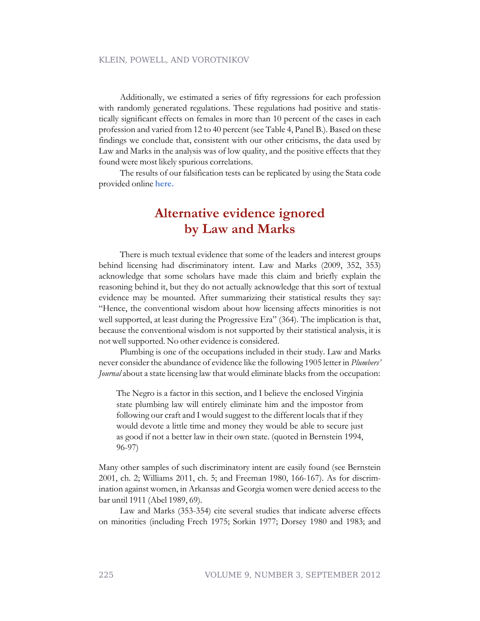Additionally, we estimated a series of fifty regressions for each profession with randomly generated regulations. These regulations had positive and statistically significant effects on females in more than 10 percent of the cases in each profession and varied from 12 to 40 percent (see Table 4, Panel B.). Based on these findings we conclude that, consistent with our other criticisms, the data used by Law and Marks in the analysis was of low quality, and the positive effects that they found were most likely spurious correlations.

The results of our falsification tests can be replicated by using the Stata code provided online **[here.](https://www.dropbox.com/s/tk4q89emotniuw2/Falsification%20Test.zip)**

# **Alternative evidence ignored by Law and Marks**

There is much textual evidence that some of the leaders and interest groups behind licensing had discriminatory intent. Law and Marks (2009, 352, 353) acknowledge that some scholars have made this claim and briefly explain the reasoning behind it, but they do not actually acknowledge that this sort of textual evidence may be mounted. After summarizing their statistical results they say: "Hence, the conventional wisdom about how licensing affects minorities is not well supported, at least during the Progressive Era" (364). The implication is that, because the conventional wisdom is not supported by their statistical analysis, it is not well supported. No other evidence is considered.

Plumbing is one of the occupations included in their study. Law and Marks never consider the abundance of evidence like the following 1905 letter in *Plumbers' Journal* about a state licensing law that would eliminate blacks from the occupation:

The Negro is a factor in this section, and I believe the enclosed Virginia state plumbing law will entirely eliminate him and the impostor from following our craft and I would suggest to the different locals that if they would devote a little time and money they would be able to secure just as good if not a better law in their own state. (quoted in Bernstein 1994, 96-97)

Many other samples of such discriminatory intent are easily found (see Bernstein 2001, ch. 2; Williams 2011, ch. 5; and Freeman 1980, 166-167). As for discrimination against women, in Arkansas and Georgia women were denied access to the bar until 1911 (Abel 1989, 69).

Law and Marks (353-354) cite several studies that indicate adverse effects on minorities (including Frech 1975; Sorkin 1977; Dorsey 1980 and 1983; and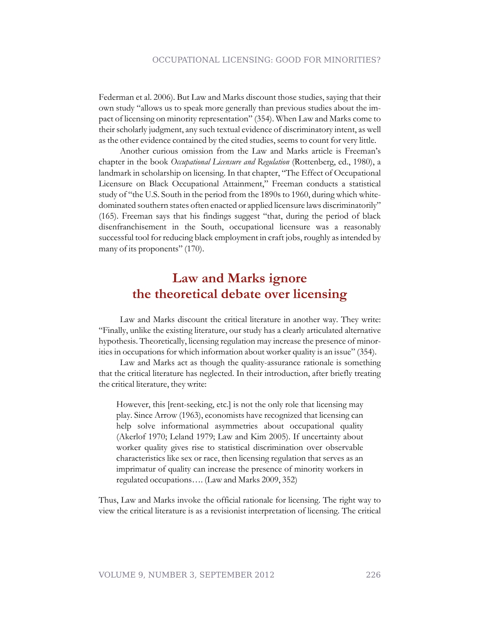Federman et al. 2006). But Law and Marks discount those studies, saying that their own study "allows us to speak more generally than previous studies about the impact of licensing on minority representation" (354). When Law and Marks come to their scholarly judgment, any such textual evidence of discriminatory intent, as well as the other evidence contained by the cited studies, seems to count for very little.

Another curious omission from the Law and Marks article is Freeman's chapter in the book *Occupational Licensure and Regulation* (Rottenberg, ed., 1980), a landmark in scholarship on licensing. In that chapter, "The Effect of Occupational Licensure on Black Occupational Attainment," Freeman conducts a statistical study of "the U.S. South in the period from the 1890s to 1960, during which whitedominated southern states often enacted or applied licensure laws discriminatorily" (165). Freeman says that his findings suggest "that, during the period of black disenfranchisement in the South, occupational licensure was a reasonably successful tool for reducing black employment in craft jobs, roughly as intended by many of its proponents" (170).

# **Law and Marks ignore the theoretical debate over licensing**

Law and Marks discount the critical literature in another way. They write: "Finally, unlike the existing literature, our study has a clearly articulated alternative hypothesis. Theoretically, licensing regulation may increase the presence of minorities in occupations for which information about worker quality is an issue" (354).

Law and Marks act as though the quality-assurance rationale is something that the critical literature has neglected. In their introduction, after briefly treating the critical literature, they write:

However, this [rent-seeking, etc.] is not the only role that licensing may play. Since Arrow (1963), economists have recognized that licensing can help solve informational asymmetries about occupational quality (Akerlof 1970; Leland 1979; Law and Kim 2005). If uncertainty about worker quality gives rise to statistical discrimination over observable characteristics like sex or race, then licensing regulation that serves as an imprimatur of quality can increase the presence of minority workers in regulated occupations…. (Law and Marks 2009, 352)

Thus, Law and Marks invoke the official rationale for licensing. The right way to view the critical literature is as a revisionist interpretation of licensing. The critical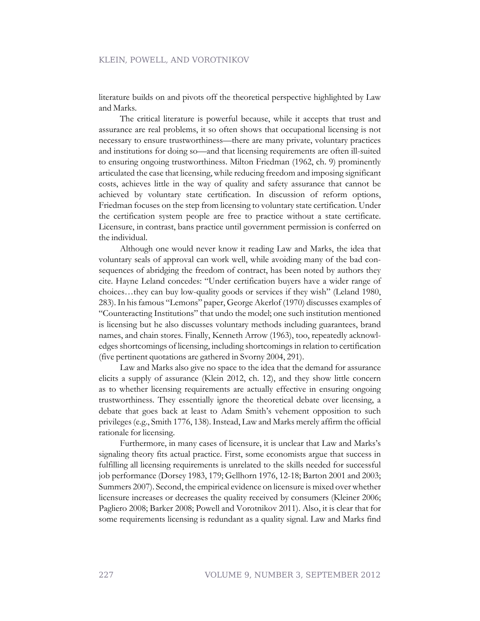literature builds on and pivots off the theoretical perspective highlighted by Law and Marks.

The critical literature is powerful because, while it accepts that trust and assurance are real problems, it so often shows that occupational licensing is not necessary to ensure trustworthiness—there are many private, voluntary practices and institutions for doing so—and that licensing requirements are often ill-suited to ensuring ongoing trustworthiness. Milton Friedman (1962, ch. 9) prominently articulated the case that licensing, while reducing freedom and imposing significant costs, achieves little in the way of quality and safety assurance that cannot be achieved by voluntary state certification. In discussion of reform options, Friedman focuses on the step from licensing to voluntary state certification. Under the certification system people are free to practice without a state certificate. Licensure, in contrast, bans practice until government permission is conferred on the individual.

Although one would never know it reading Law and Marks, the idea that voluntary seals of approval can work well, while avoiding many of the bad consequences of abridging the freedom of contract, has been noted by authors they cite. Hayne Leland concedes: "Under certification buyers have a wider range of choices…they can buy low-quality goods or services if they wish" (Leland 1980, 283). In his famous "Lemons" paper, George Akerlof (1970) discusses examples of "Counteracting Institutions" that undo the model; one such institution mentioned is licensing but he also discusses voluntary methods including guarantees, brand names, and chain stores. Finally, Kenneth Arrow (1963), too, repeatedly acknowledges shortcomings of licensing, including shortcomings in relation to certification (five pertinent quotations are gathered in Svorny 2004, 291).

Law and Marks also give no space to the idea that the demand for assurance elicits a supply of assurance (Klein 2012, ch. 12), and they show little concern as to whether licensing requirements are actually effective in ensuring ongoing trustworthiness. They essentially ignore the theoretical debate over licensing, a debate that goes back at least to Adam Smith's vehement opposition to such privileges (e.g., Smith 1776, 138). Instead, Law and Marks merely affirm the official rationale for licensing.

Furthermore, in many cases of licensure, it is unclear that Law and Marks's signaling theory fits actual practice. First, some economists argue that success in fulfilling all licensing requirements is unrelated to the skills needed for successful job performance (Dorsey 1983, 179; Gellhorn 1976, 12-18; Barton 2001 and 2003; Summers 2007). Second, the empirical evidence on licensure is mixed over whether licensure increases or decreases the quality received by consumers (Kleiner 2006; Pagliero 2008; Barker 2008; Powell and Vorotnikov 2011). Also, it is clear that for some requirements licensing is redundant as a quality signal. Law and Marks find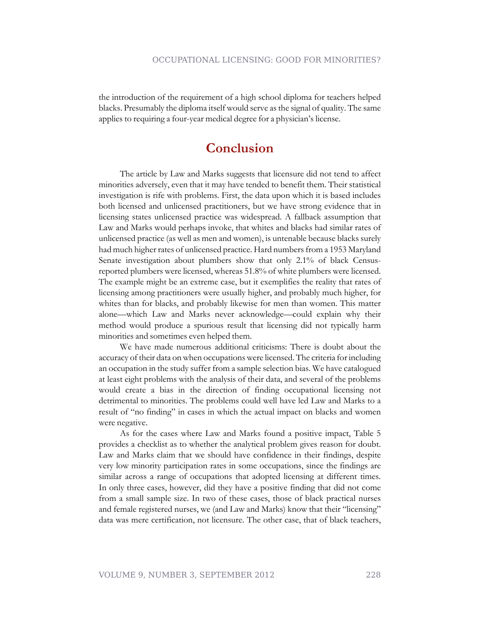the introduction of the requirement of a high school diploma for teachers helped blacks. Presumably the diploma itself would serve as the signal of quality. The same applies to requiring a four-year medical degree for a physician's license.

### **Conclusion**

The article by Law and Marks suggests that licensure did not tend to affect minorities adversely, even that it may have tended to benefit them. Their statistical investigation is rife with problems. First, the data upon which it is based includes both licensed and unlicensed practitioners, but we have strong evidence that in licensing states unlicensed practice was widespread. A fallback assumption that Law and Marks would perhaps invoke, that whites and blacks had similar rates of unlicensed practice (as well as men and women), is untenable because blacks surely had much higher rates of unlicensed practice. Hard numbers from a 1953 Maryland Senate investigation about plumbers show that only 2.1% of black Censusreported plumbers were licensed, whereas 51.8% of white plumbers were licensed. The example might be an extreme case, but it exemplifies the reality that rates of licensing among practitioners were usually higher, and probably much higher, for whites than for blacks, and probably likewise for men than women. This matter alone—which Law and Marks never acknowledge—could explain why their method would produce a spurious result that licensing did not typically harm minorities and sometimes even helped them.

We have made numerous additional criticisms: There is doubt about the accuracy of their data on when occupations were licensed. The criteria for including an occupation in the study suffer from a sample selection bias. We have catalogued at least eight problems with the analysis of their data, and several of the problems would create a bias in the direction of finding occupational licensing not detrimental to minorities. The problems could well have led Law and Marks to a result of "no finding" in cases in which the actual impact on blacks and women were negative.

As for the cases where Law and Marks found a positive impact, Table 5 provides a checklist as to whether the analytical problem gives reason for doubt. Law and Marks claim that we should have confidence in their findings, despite very low minority participation rates in some occupations, since the findings are similar across a range of occupations that adopted licensing at different times. In only three cases, however, did they have a positive finding that did not come from a small sample size. In two of these cases, those of black practical nurses and female registered nurses, we (and Law and Marks) know that their "licensing" data was mere certification, not licensure. The other case, that of black teachers,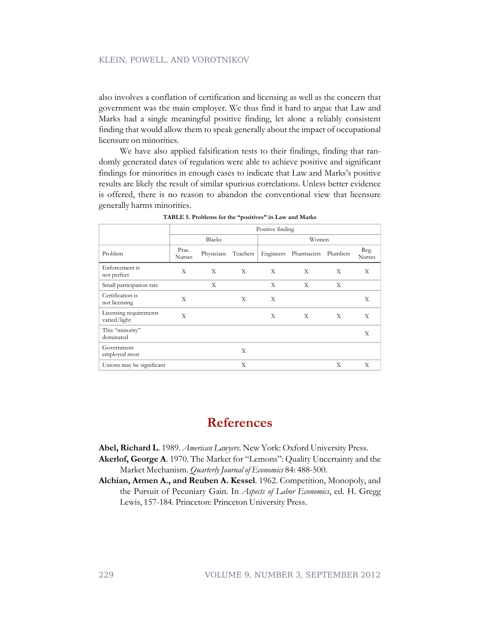also involves a conflation of certification and licensing as well as the concern that government was the main employer. We thus find it hard to argue that Law and Marks had a single meaningful positive finding, let alone a reliably consistent finding that would allow them to speak generally about the impact of occupational licensure on minorities.

We have also applied falsification tests to their findings, finding that randomly generated dates of regulation were able to achieve positive and significant findings for minorities in enough cases to indicate that Law and Marks's positive results are likely the result of similar spurious correlations. Unless better evidence is offered, there is no reason to abandon the conventional view that licensure generally harms minorities.

|                                        | Positive finding       |            |          |           |             |          |                |
|----------------------------------------|------------------------|------------|----------|-----------|-------------|----------|----------------|
|                                        | <b>Blacks</b>          |            | Women    |           |             |          |                |
| Problem                                | Prac.<br><b>Nurses</b> | Physicians | Teachers | Engineers | Pharmacists | Plumbers | Reg.<br>Nurses |
| Enforcement is<br>not perfect          | X                      | X          | X        | X         | X           | X        | X              |
| Small participation rate               |                        | X          |          | X         | X           | X        |                |
| Certification is<br>not licensing      | X                      |            | X        | X         |             |          | X              |
| Licensing requirements<br>varied/light | $\mathbf{X}$           |            |          | X         | X           | X        | X              |
| This "minority"<br>dominated           |                        |            |          |           |             |          | X              |
| Government<br>employed most            |                        |            | X        |           |             |          |                |
| Unions may be significant              |                        |            | X        |           |             | X        | X              |

**TABLE 5. Problems for the "positives" in Law and Marks**

## **References**

**Abel, Richard L**. 1989. *American Lawyers*. New York: Oxford University Press.

- **Akerlof, George A**. 1970. The Market for "Lemons": Quality Uncertainty and the Market Mechanism. *Quarterly Journal of Economics* 84: 488-500.
- **Alchian, Armen A., and Reuben A. Kessel**. 1962. Competition, Monopoly, and the Pursuit of Pecuniary Gain. In *Aspects of Labor Economics*, ed. H. Gregg Lewis, 157-184. Princeton: Princeton University Press.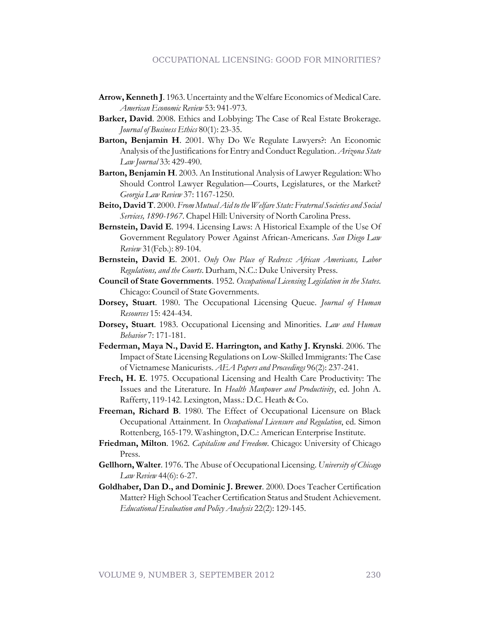- **Arrow, Kenneth J**. 1963. Uncertainty and the Welfare Economics of Medical Care. *American Economic Review* 53: 941-973.
- **Barker, David**. 2008. Ethics and Lobbying: The Case of Real Estate Brokerage. *Journal of Business Ethics* 80(1): 23-35.
- **Barton, Benjamin H**. 2001. Why Do We Regulate Lawyers?: An Economic Analysis of the Justifications for Entry and Conduct Regulation. *Arizona State Law Journal* 33: 429-490.
- **Barton, Benjamin H**. 2003. An Institutional Analysis of Lawyer Regulation: Who Should Control Lawyer Regulation—Courts, Legislatures, or the Market? *Georgia Law Review* 37: 1167-1250.
- **Beito, David T**. 2000. *From Mutual Aid to the Welfare State: Fraternal Societies and Social Services, 1890-1967*. Chapel Hill: University of North Carolina Press.
- **Bernstein, David E**. 1994. Licensing Laws: A Historical Example of the Use Of Government Regulatory Power Against African-Americans. *San Diego Law Review* 31(Feb.): 89-104.
- **Bernstein, David E**. 2001. *Only One Place of Redress: African Americans, Labor Regulations, and the Courts*. Durham, N.C.: Duke University Press.
- **Council of State Governments**. 1952. *Occupational Licensing Legislation in the States*. Chicago: Council of State Governments.
- **Dorsey, Stuart**. 1980. The Occupational Licensing Queue. *Journal of Human Resources* 15: 424-434.
- **Dorsey, Stuart**. 1983. Occupational Licensing and Minorities. *Law and Human Behavior* 7: 171-181.
- **Federman, Maya N., David E. Harrington, and Kathy J. Krynski**. 2006. The Impact of State Licensing Regulations on Low-Skilled Immigrants: The Case of Vietnamese Manicurists. *AEA Papers and Proceedings* 96(2): 237-241.
- **Frech, H. E**. 1975. Occupational Licensing and Health Care Productivity: The Issues and the Literature. In *Health Manpower and Productivity*, ed. John A. Rafferty, 119-142. Lexington, Mass.: D.C. Heath & Co.
- **Freeman, Richard B**. 1980. The Effect of Occupational Licensure on Black Occupational Attainment. In *Occupational Licensure and Regulation*, ed. Simon Rottenberg, 165-179. Washington, D.C.: American Enterprise Institute.
- **Friedman, Milton**. 1962. *Capitalism and Freedom*. Chicago: University of Chicago Press.
- **Gellhorn, Walter**. 1976. The Abuse of Occupational Licensing. *University of Chicago Law Review* 44(6): 6-27.
- **Goldhaber, Dan D., and Dominic J. Brewer**. 2000. Does Teacher Certification Matter? High School Teacher Certification Status and Student Achievement. *Educational Evaluation and Policy Analysis* 22(2): 129-145.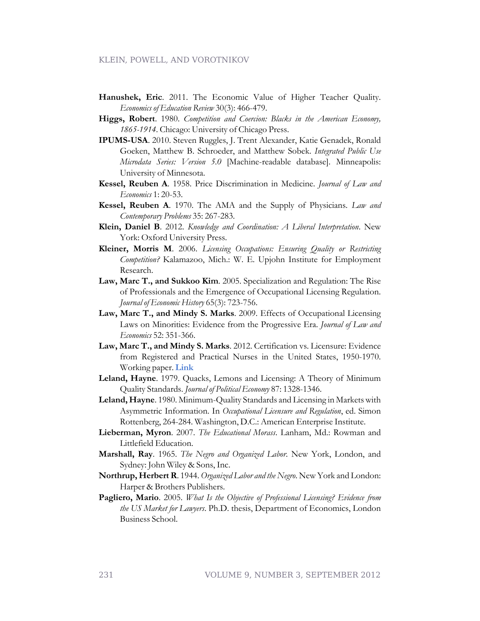- **Hanushek, Eric**. 2011. The Economic Value of Higher Teacher Quality. *Economics of Education Review* 30(3): 466-479.
- **Higgs, Robert**. 1980. *Competition and Coercion: Blacks in the American Economy, 1865-1914*. Chicago: University of Chicago Press.
- **IPUMS-USA**. 2010. Steven Ruggles, J. Trent Alexander, Katie Genadek, Ronald Goeken, Matthew B. Schroeder, and Matthew Sobek. *Integrated Public Use Microdata Series: Version 5.0* [Machine-readable database]. Minneapolis: University of Minnesota.
- **Kessel, Reuben A**. 1958. Price Discrimination in Medicine. *Journal of Law and Economics* 1: 20-53.
- **Kessel, Reuben A**. 1970. The AMA and the Supply of Physicians. *Law and Contemporary Problems* 35: 267-283.
- **Klein, Daniel B**. 2012. *Knowledge and Coordination: A Liberal Interpretation*. New York: Oxford University Press.
- **Kleiner, Morris M**. 2006. *Licensing Occupations: Ensuring Quality or Restricting Competition?* Kalamazoo, Mich.: W. E. Upjohn Institute for Employment Research.
- **Law, Marc T., and Sukkoo Kim**. 2005. Specialization and Regulation: The Rise of Professionals and the Emergence of Occupational Licensing Regulation. *Journal of Economic History* 65(3): 723-756.
- **Law, Marc T., and Mindy S. Marks**. 2009. Effects of Occupational Licensing Laws on Minorities: Evidence from the Progressive Era. *Journal of Law and Economics* 52: 351-366.
- **Law, Marc T., and Mindy S. Marks**. 2012. Certification vs. Licensure: Evidence from Registered and Practical Nurses in the United States, 1950-1970. Working paper. **[Link](http://faculty.ucr.edu/~mmarks/Papers/law2012certification.pdf)**
- **Leland, Hayne**. 1979. Quacks, Lemons and Licensing: A Theory of Minimum Quality Standards. *Journal of Political Economy* 87: 1328-1346.
- **Leland, Hayne**. 1980. Minimum-Quality Standards and Licensing in Markets with Asymmetric Information. In *Occupational Licensure and Regulation*, ed. Simon Rottenberg, 264-284. Washington, D.C.: American Enterprise Institute.
- **Lieberman, Myron**. 2007. *The Educational Morass*. Lanham, Md.: Rowman and Littlefield Education.
- **Marshall, Ray**. 1965. *The Negro and Organized Labor*. New York, London, and Sydney: John Wiley & Sons, Inc.
- **Northrup, Herbert R**. 1944. *Organized Labor and the Negro*. New York and London: Harper & Brothers Publishers.
- **Pagliero, Mario**. 2005. *What Is the Objective of Professional Licensing? Evidence from the US Market for Lawyers*. Ph.D. thesis, Department of Economics, London Business School.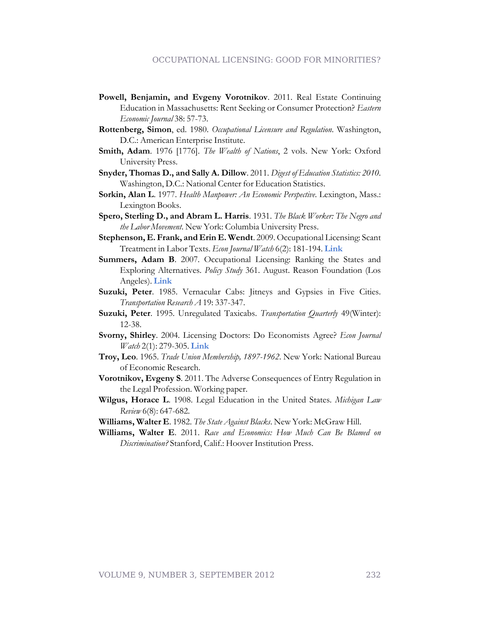- **Powell, Benjamin, and Evgeny Vorotnikov**. 2011. Real Estate Continuing Education in Massachusetts: Rent Seeking or Consumer Protection? *Eastern Economic Journal* 38: 57-73.
- **Rottenberg, Simon**, ed. 1980. *Occupational Licensure and Regulation*. Washington, D.C.: American Enterprise Institute.
- **Smith, Adam**. 1976 [1776]. *The Wealth of Nations*, 2 vols. New York: Oxford University Press.
- **Snyder, Thomas D., and Sally A. Dillow**. 2011. *Digest of Education Statistics: 2010*. Washington, D.C.: National Center for Education Statistics.
- **Sorkin, Alan L**. 1977. *Health Manpower: An Economic Perspective*. Lexington, Mass.: Lexington Books.
- **Spero, Sterling D., and Abram L. Harris**. 1931. *The Black Worker: The Negro and the Labor Movement*. New York: Columbia University Press.
- **Stephenson, E. Frank, and Erin E. Wendt**. 2009. Occupational Licensing: Scant Treatment in Labor Texts. *Econ Journal Watch* 6(2): 181-194. **[Link](http://econjwatch.org/articles/occupational-licensing-scant-treatment-in-labor-texts)**
- **Summers, Adam B**. 2007. Occupational Licensing: Ranking the States and Exploring Alternatives. *Policy Study* 361. August. Reason Foundation (Los Angeles). **[Link](http://reason.org/news/show/1002854.html)**
- **Suzuki, Peter**. 1985. Vernacular Cabs: Jitneys and Gypsies in Five Cities. *Transportation Research A* 19: 337-347.
- **Suzuki, Peter**. 1995. Unregulated Taxicabs. *Transportation Quarterly* 49(Winter): 12-38.
- **Svorny, Shirley**. 2004. Licensing Doctors: Do Economists Agree? *Econ Journal Watch* 2(1): 279-305. **[Link](http://econjwatch.org/articles/licensing-doctors-do-economists-agree)**
- **Troy, Leo**. 1965. *Trade Union Membership, 1897-1962*. New York: National Bureau of Economic Research.
- **Vorotnikov, Evgeny S**. 2011. The Adverse Consequences of Entry Regulation in the Legal Profession. Working paper.
- **Wilgus, Horace L**. 1908. Legal Education in the United States. *Michigan Law Review* 6(8): 647-682.
- **Williams, Walter E**. 1982. *The State Against Blacks*. New York: McGraw Hill.
- **Williams, Walter E**. 2011. *Race and Economics: How Much Can Be Blamed on Discrimination?* Stanford, Calif.: Hoover Institution Press.